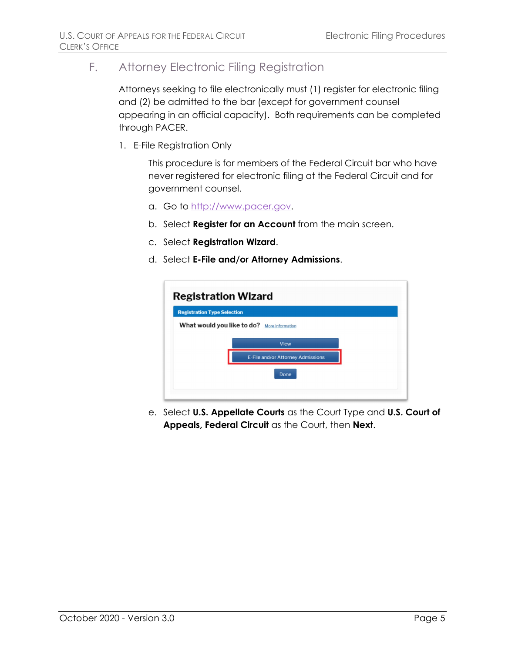# F. Attorney Electronic Filing Registration

Attorneys seeking to file electronically must (1) register for electronic filing and (2) be admitted to the bar (except for government counsel appearing in an official capacity). Both requirements can be completed through PACER.

1. E-File Registration Only

This procedure is for members of the Federal Circuit bar who have never registered for electronic filing at the Federal Circuit and for government counsel.

- a. Go to [http://www.pacer.gov.](http://www.pacer.gov/)
- b. Select **Register for an Account** from the main screen.
- c. Select **Registration Wizard**.
- d. Select **E-File and/or Attorney Admissions**.

| <b>Registration Type Selection</b> |                                                       |  |
|------------------------------------|-------------------------------------------------------|--|
|                                    | What would you like to do?<br><b>More Information</b> |  |
|                                    | View                                                  |  |
|                                    | E-File and/or Attorney Admissions                     |  |
|                                    | Done                                                  |  |

e. Select **U.S. Appellate Courts** as the Court Type and **U.S. Court of Appeals, Federal Circuit** as the Court, then **Next**.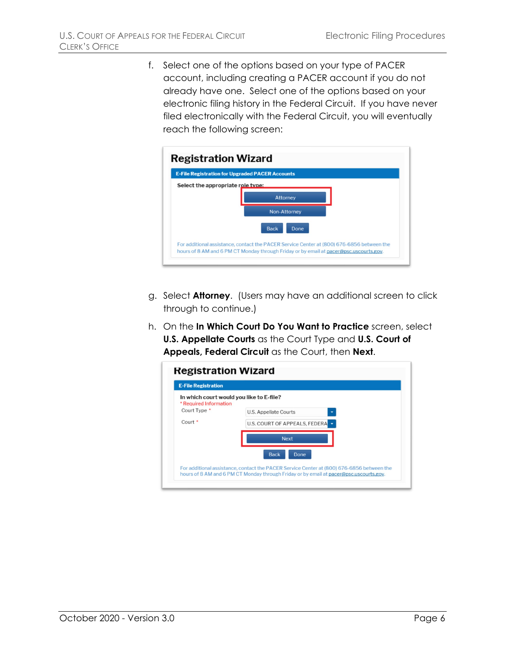f. Select one of the options based on your type of PACER account, including creating a PACER account if you do not already have one. Select one of the options based on your electronic filing history in the Federal Circuit. If you have never filed electronically with the Federal Circuit, you will eventually reach the following screen:



- g. Select **Attorney**. (Users may have an additional screen to click through to continue.)
- h. On the **In Which Court Do You Want to Practice** screen, select **U.S. Appellate Courts** as the Court Type and **U.S. Court of Appeals, Federal Circuit** as the Court, then **Next**.

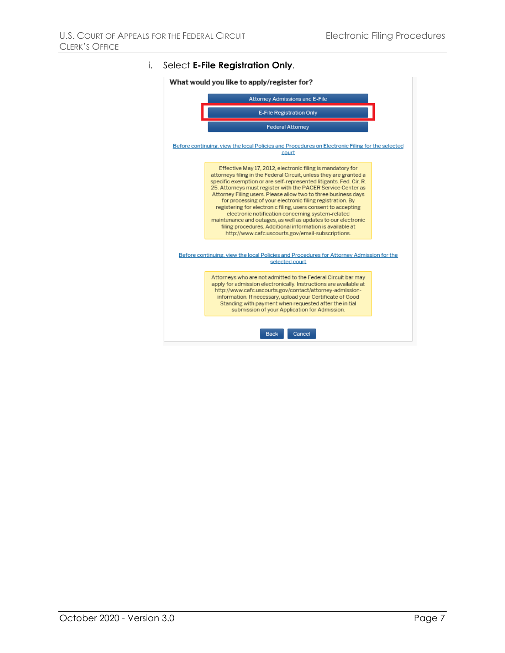#### i. Select **E-File Registration Only**.

What would you like to apply/register for?

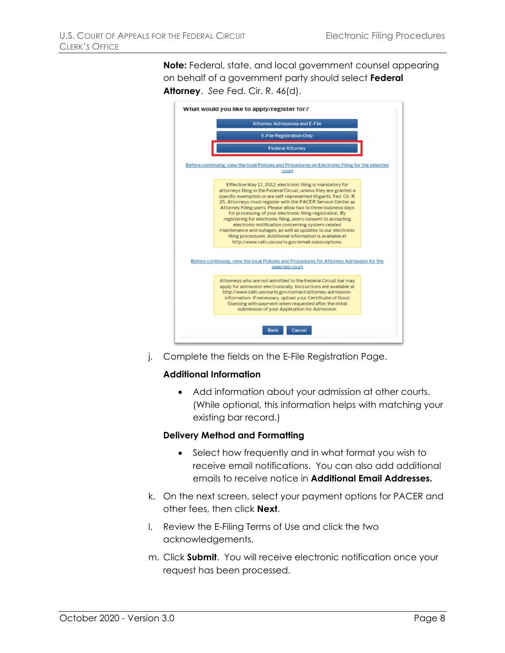**Note:** Federal, state, and local government counsel appearing on behalf of a government party should select **Federal Attorney**. *See* Fed. Cir. R. 46(d).



j. Complete the fields on the E-File Registration Page.

#### **Additional Information**

• Add information about your admission at other courts. (While optional, this information helps with matching your existing bar record.)

#### **Delivery Method and Formatting**

- Select how frequently and in what format you wish to receive email notifications. You can also add additional emails to receive notice in **Additional Email Addresses.**
- k. On the next screen, select your payment options for PACER and other fees, then click **Next**.
- l. Review the E-Filing Terms of Use and click the two acknowledgements.
- m. Click **Submit**. You will receive electronic notification once your request has been processed.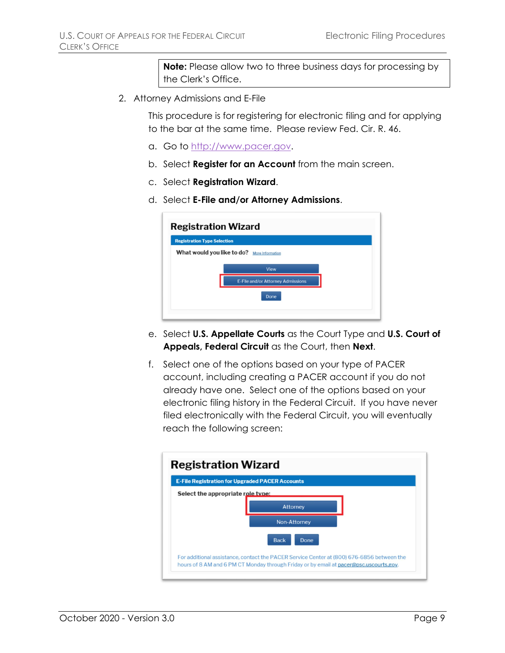**Note:** Please allow two to three business days for processing by the Clerk's Office.

2. Attorney Admissions and E-File

This procedure is for registering for electronic filing and for applying to the bar at the same time. Please review Fed. Cir. R. 46.

- a. Go to [http://www.pacer.gov.](http://www.pacer.gov/)
- b. Select **Register for an Account** from the main screen.
- c. Select **Registration Wizard**.
- d. Select **E-File and/or Attorney Admissions**.

|                                    | <b>Registration Wizard</b>                  |
|------------------------------------|---------------------------------------------|
| <b>Registration Type Selection</b> |                                             |
|                                    | What would you like to do? More Information |
|                                    | View                                        |
|                                    | E-File and/or Attorney Admissions           |
|                                    | Done                                        |
|                                    |                                             |
|                                    |                                             |

- e. Select **U.S. Appellate Courts** as the Court Type and **U.S. Court of Appeals, Federal Circuit** as the Court, then **Next**.
- f. Select one of the options based on your type of PACER account, including creating a PACER account if you do not already have one. Select one of the options based on your electronic filing history in the Federal Circuit. If you have never filed electronically with the Federal Circuit, you will eventually reach the following screen:

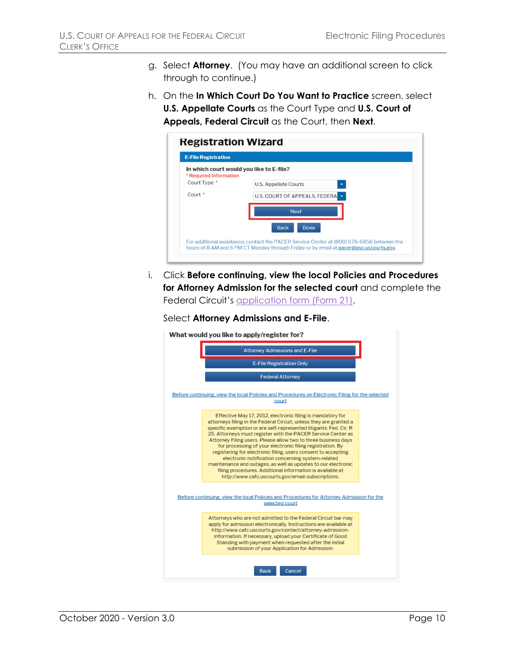- g. Select **Attorney**. (You may have an additional screen to click through to continue.)
- h. On the **In Which Court Do You Want to Practice** screen, select **U.S. Appellate Courts** as the Court Type and **U.S. Court of Appeals, Federal Circuit** as the Court, then **Next**.

| <b>E-File Registration</b>                                         |                               |
|--------------------------------------------------------------------|-------------------------------|
| In which court would you like to E-file?<br>* Required Information |                               |
| Court Type *                                                       | <b>U.S. Appellate Courts</b>  |
| Court <sup>*</sup>                                                 | U.S. COURT OF APPEALS, FEDERA |
|                                                                    | <b>Next</b>                   |
|                                                                    | <b>Back</b><br>Done           |

i. Click **Before continuing, view the local Policies and Procedures for Attorney Admission for the selected court** and complete the Federal Circuit's [application form \(Form 21\).](http://www.cafc.uscourts.gov/sites/default/files/rules-of-practice/forms/form21.pdf)



What would you like to apply/register for?

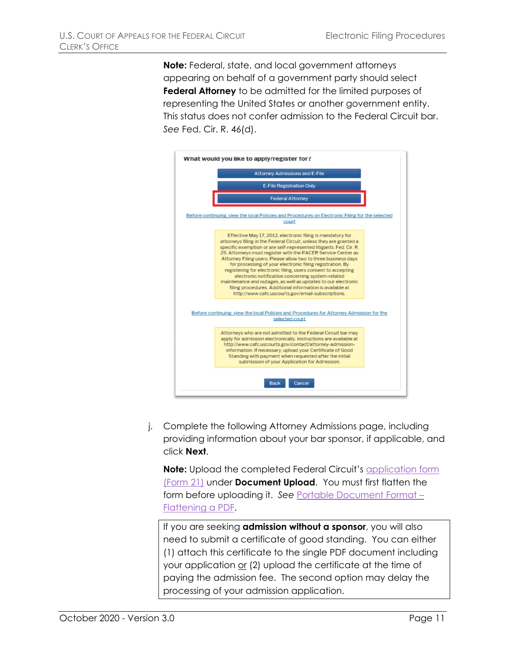**Note:** Federal, state, and local government attorneys appearing on behalf of a government party should select **Federal Attorney** to be admitted for the limited purposes of representing the United States or another government entity. This status does not confer admission to the Federal Circuit bar. *See* Fed. Cir. R. 46(d).



j. Complete the following Attorney Admissions page, including providing information about your bar sponsor, if applicable, and click **Next**.

**Note:** Upload the completed Federal Circuit's [application form](http://www.cafc.uscourts.gov/sites/default/files/rules-of-practice/forms/form21.pdf)  [\(Form 21\)](http://www.cafc.uscourts.gov/sites/default/files/rules-of-practice/forms/form21.pdf) under **Document Upload**. You must first flatten the form before uploading it. *See* Portable Document Format – Flattening a PDF.

If you are seeking **admission without a sponsor**, you will also need to submit a certificate of good standing. You can either (1) attach this certificate to the single PDF document including your application or (2) upload the certificate at the time of paying the admission fee. The second option may delay the processing of your admission application.